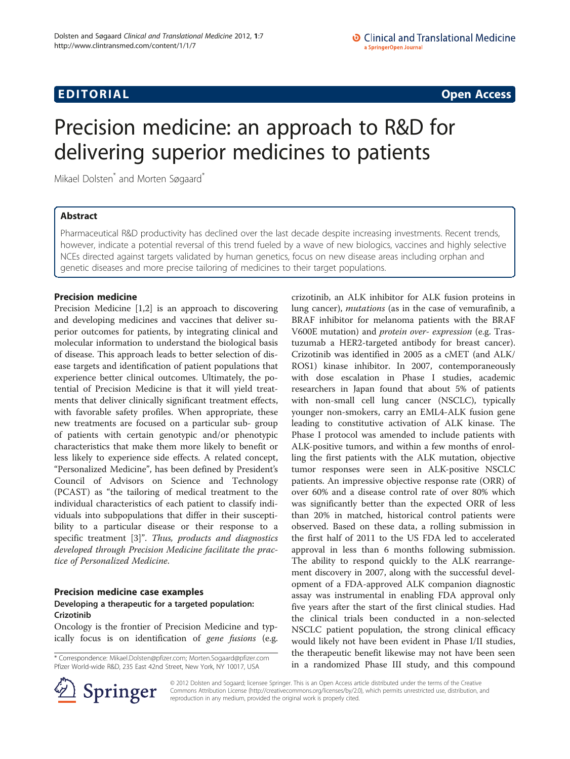## **EDITORIAL** CONTROL CONTROL CONTROL CONTROL CONTROL CONTROL CONTROL CONTROL CONTROL CONTROL CONTROL CONTROL CONTROL CONTROL CONTROL CONTROL CONTROL CONTROL CONTROL CONTROL CONTROL CONTROL CONTROL CONTROL CONTROL CONTROL CO

# Precision medicine: an approach to R&D for delivering superior medicines to patients

Mikael Dolsten<sup>\*</sup> and Morten Søgaard<sup>\*</sup>

#### Abstract

Pharmaceutical R&D productivity has declined over the last decade despite increasing investments. Recent trends, however, indicate a potential reversal of this trend fueled by a wave of new biologics, vaccines and highly selective NCEs directed against targets validated by human genetics, focus on new disease areas including orphan and genetic diseases and more precise tailoring of medicines to their target populations.

#### Precision medicine

Precision Medicine [\[1,2](#page-3-0)] is an approach to discovering and developing medicines and vaccines that deliver superior outcomes for patients, by integrating clinical and molecular information to understand the biological basis of disease. This approach leads to better selection of disease targets and identification of patient populations that experience better clinical outcomes. Ultimately, the potential of Precision Medicine is that it will yield treatments that deliver clinically significant treatment effects, with favorable safety profiles. When appropriate, these new treatments are focused on a particular sub- group of patients with certain genotypic and/or phenotypic characteristics that make them more likely to benefit or less likely to experience side effects. A related concept, "Personalized Medicine", has been defined by President's Council of Advisors on Science and Technology (PCAST) as "the tailoring of medical treatment to the individual characteristics of each patient to classify individuals into subpopulations that differ in their susceptibility to a particular disease or their response to a specific treatment [[3\]](#page-3-0)". Thus, products and diagnostics developed through Precision Medicine facilitate the practice of Personalized Medicine.

#### Precision medicine case examples Developing a therapeutic for a targeted population: Crizotinib

Oncology is the frontier of Precision Medicine and typically focus is on identification of gene fusions (e.g.

lung cancer), mutations (as in the case of vemurafinib, a BRAF inhibitor for melanoma patients with the BRAF V600E mutation) and protein over- expression (e.g. Trastuzumab a HER2-targeted antibody for breast cancer). Crizotinib was identified in 2005 as a cMET (and ALK/ ROS1) kinase inhibitor. In 2007, contemporaneously with dose escalation in Phase I studies, academic researchers in Japan found that about 5% of patients with non-small cell lung cancer (NSCLC), typically younger non-smokers, carry an EML4-ALK fusion gene leading to constitutive activation of ALK kinase. The Phase I protocol was amended to include patients with ALK-positive tumors, and within a few months of enrolling the first patients with the ALK mutation, objective tumor responses were seen in ALK-positive NSCLC patients. An impressive objective response rate (ORR) of over 60% and a disease control rate of over 80% which was significantly better than the expected ORR of less than 20% in matched, historical control patients were observed. Based on these data, a rolling submission in the first half of 2011 to the US FDA led to accelerated approval in less than 6 months following submission. The ability to respond quickly to the ALK rearrangement discovery in 2007, along with the successful development of a FDA-approved ALK companion diagnostic assay was instrumental in enabling FDA approval only five years after the start of the first clinical studies. Had the clinical trials been conducted in a non-selected NSCLC patient population, the strong clinical efficacy would likely not have been evident in Phase I/II studies, the therapeutic benefit likewise may not have been seen in a randomized Phase III study, and this compound \* Correspondence: [Mikael.Dolsten@pfizer.com](mailto:Mikael.Dolsten@pfizer.com); [Morten.Sogaard@pfizer.com](mailto:Morten.Sogaard@pfizer.com)

crizotinib, an ALK inhibitor for ALK fusion proteins in



© 2012 Dolsten and Sogaard; licensee Springer. This is an Open Access article distributed under the terms of the Creative Commons Attribution License (<http://creativecommons.org/licenses/by/2.0>), which permits unrestricted use, distribution, and reproduction in any medium, provided the original work is properly cited.

Pfizer World-wide R&D, 235 East 42nd Street, New York, NY 10017, USA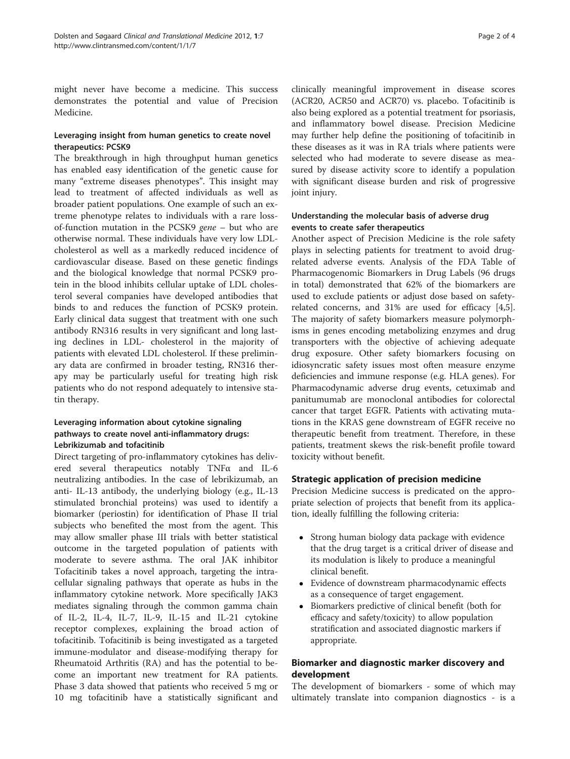might never have become a medicine. This success demonstrates the potential and value of Precision Medicine.

#### Leveraging insight from human genetics to create novel therapeutics: PCSK9

The breakthrough in high throughput human genetics has enabled easy identification of the genetic cause for many "extreme diseases phenotypes". This insight may lead to treatment of affected individuals as well as broader patient populations. One example of such an extreme phenotype relates to individuals with a rare lossof-function mutation in the PCSK9 gene – but who are otherwise normal. These individuals have very low LDLcholesterol as well as a markedly reduced incidence of cardiovascular disease. Based on these genetic findings and the biological knowledge that normal PCSK9 protein in the blood inhibits cellular uptake of LDL cholesterol several companies have developed antibodies that binds to and reduces the function of PCSK9 protein. Early clinical data suggest that treatment with one such antibody RN316 results in very significant and long lasting declines in LDL- cholesterol in the majority of patients with elevated LDL cholesterol. If these preliminary data are confirmed in broader testing, RN316 therapy may be particularly useful for treating high risk patients who do not respond adequately to intensive statin therapy.

#### Leveraging information about cytokine signaling pathways to create novel anti-inflammatory drugs: Lebrikizumab and tofacitinib

Direct targeting of pro-inflammatory cytokines has delivered several therapeutics notably TNFα and IL-6 neutralizing antibodies. In the case of lebrikizumab, an anti- IL-13 antibody, the underlying biology (e.g., IL-13 stimulated bronchial proteins) was used to identify a biomarker (periostin) for identification of Phase II trial subjects who benefited the most from the agent. This may allow smaller phase III trials with better statistical outcome in the targeted population of patients with moderate to severe asthma. The oral JAK inhibitor Tofacitinib takes a novel approach, targeting the intracellular signaling pathways that operate as hubs in the inflammatory cytokine network. More specifically JAK3 mediates signaling through the common gamma chain of IL-2, IL-4, IL-7, IL-9, IL-15 and IL-21 cytokine receptor complexes, explaining the broad action of tofacitinib. Tofacitinib is being investigated as a targeted immune-modulator and disease-modifying therapy for Rheumatoid Arthritis (RA) and has the potential to become an important new treatment for RA patients. Phase 3 data showed that patients who received 5 mg or 10 mg tofacitinib have a statistically significant and

clinically meaningful improvement in disease scores (ACR20, ACR50 and ACR70) vs. placebo. Tofacitinib is also being explored as a potential treatment for psoriasis, and inflammatory bowel disease. Precision Medicine may further help define the positioning of tofacitinib in these diseases as it was in RA trials where patients were selected who had moderate to severe disease as measured by disease activity score to identify a population with significant disease burden and risk of progressive joint injury.

#### Understanding the molecular basis of adverse drug events to create safer therapeutics

Another aspect of Precision Medicine is the role safety plays in selecting patients for treatment to avoid drugrelated adverse events. Analysis of the FDA Table of Pharmacogenomic Biomarkers in Drug Labels (96 drugs in total) demonstrated that 62% of the biomarkers are used to exclude patients or adjust dose based on safetyrelated concerns, and 31% are used for efficacy [\[4,5](#page-3-0)]. The majority of safety biomarkers measure polymorphisms in genes encoding metabolizing enzymes and drug transporters with the objective of achieving adequate drug exposure. Other safety biomarkers focusing on idiosyncratic safety issues most often measure enzyme deficiencies and immune response (e.g. HLA genes). For Pharmacodynamic adverse drug events, cetuximab and panitumumab are monoclonal antibodies for colorectal cancer that target EGFR. Patients with activating mutations in the KRAS gene downstream of EGFR receive no therapeutic benefit from treatment. Therefore, in these patients, treatment skews the risk-benefit profile toward toxicity without benefit.

#### Strategic application of precision medicine

Precision Medicine success is predicated on the appropriate selection of projects that benefit from its application, ideally fulfilling the following criteria:

- Strong human biology data package with evidence that the drug target is a critical driver of disease and its modulation is likely to produce a meaningful clinical benefit.
- Evidence of downstream pharmacodynamic effects as a consequence of target engagement.
- Biomarkers predictive of clinical benefit (both for efficacy and safety/toxicity) to allow population stratification and associated diagnostic markers if appropriate.

#### Biomarker and diagnostic marker discovery and development

The development of biomarkers - some of which may ultimately translate into companion diagnostics - is a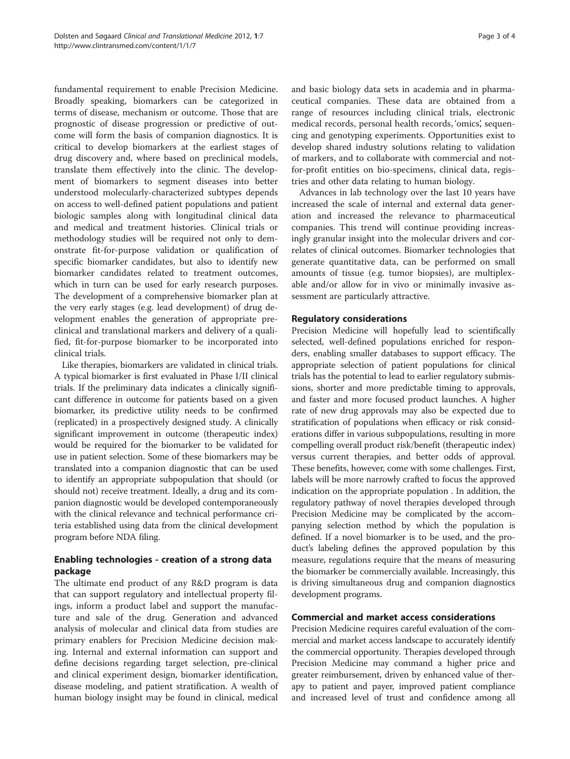fundamental requirement to enable Precision Medicine. Broadly speaking, biomarkers can be categorized in terms of disease, mechanism or outcome. Those that are prognostic of disease progression or predictive of outcome will form the basis of companion diagnostics. It is critical to develop biomarkers at the earliest stages of drug discovery and, where based on preclinical models, translate them effectively into the clinic. The development of biomarkers to segment diseases into better understood molecularly-characterized subtypes depends on access to well-defined patient populations and patient biologic samples along with longitudinal clinical data and medical and treatment histories. Clinical trials or methodology studies will be required not only to demonstrate fit-for-purpose validation or qualification of specific biomarker candidates, but also to identify new biomarker candidates related to treatment outcomes, which in turn can be used for early research purposes. The development of a comprehensive biomarker plan at the very early stages (e.g. lead development) of drug development enables the generation of appropriate preclinical and translational markers and delivery of a qualified, fit-for-purpose biomarker to be incorporated into clinical trials.

Like therapies, biomarkers are validated in clinical trials. A typical biomarker is first evaluated in Phase I/II clinical trials. If the preliminary data indicates a clinically significant difference in outcome for patients based on a given biomarker, its predictive utility needs to be confirmed (replicated) in a prospectively designed study. A clinically significant improvement in outcome (therapeutic index) would be required for the biomarker to be validated for use in patient selection. Some of these biomarkers may be translated into a companion diagnostic that can be used to identify an appropriate subpopulation that should (or should not) receive treatment. Ideally, a drug and its companion diagnostic would be developed contemporaneously with the clinical relevance and technical performance criteria established using data from the clinical development program before NDA filing.

## Enabling technologies - creation of a strong data package

The ultimate end product of any R&D program is data that can support regulatory and intellectual property filings, inform a product label and support the manufacture and sale of the drug. Generation and advanced analysis of molecular and clinical data from studies are primary enablers for Precision Medicine decision making. Internal and external information can support and define decisions regarding target selection, pre-clinical and clinical experiment design, biomarker identification, disease modeling, and patient stratification. A wealth of human biology insight may be found in clinical, medical and basic biology data sets in academia and in pharmaceutical companies. These data are obtained from a range of resources including clinical trials, electronic medical records, personal health records, 'omics', sequencing and genotyping experiments. Opportunities exist to develop shared industry solutions relating to validation of markers, and to collaborate with commercial and notfor-profit entities on bio-specimens, clinical data, registries and other data relating to human biology.

Advances in lab technology over the last 10 years have increased the scale of internal and external data generation and increased the relevance to pharmaceutical companies. This trend will continue providing increasingly granular insight into the molecular drivers and correlates of clinical outcomes. Biomarker technologies that generate quantitative data, can be performed on small amounts of tissue (e.g. tumor biopsies), are multiplexable and/or allow for in vivo or minimally invasive assessment are particularly attractive.

#### Regulatory considerations

Precision Medicine will hopefully lead to scientifically selected, well-defined populations enriched for responders, enabling smaller databases to support efficacy. The appropriate selection of patient populations for clinical trials has the potential to lead to earlier regulatory submissions, shorter and more predictable timing to approvals, and faster and more focused product launches. A higher rate of new drug approvals may also be expected due to stratification of populations when efficacy or risk considerations differ in various subpopulations, resulting in more compelling overall product risk/benefit (therapeutic index) versus current therapies, and better odds of approval. These benefits, however, come with some challenges. First, labels will be more narrowly crafted to focus the approved indication on the appropriate population . In addition, the regulatory pathway of novel therapies developed through Precision Medicine may be complicated by the accompanying selection method by which the population is defined. If a novel biomarker is to be used, and the product's labeling defines the approved population by this measure, regulations require that the means of measuring the biomarker be commercially available. Increasingly, this is driving simultaneous drug and companion diagnostics development programs.

#### Commercial and market access considerations

Precision Medicine requires careful evaluation of the commercial and market access landscape to accurately identify the commercial opportunity. Therapies developed through Precision Medicine may command a higher price and greater reimbursement, driven by enhanced value of therapy to patient and payer, improved patient compliance and increased level of trust and confidence among all